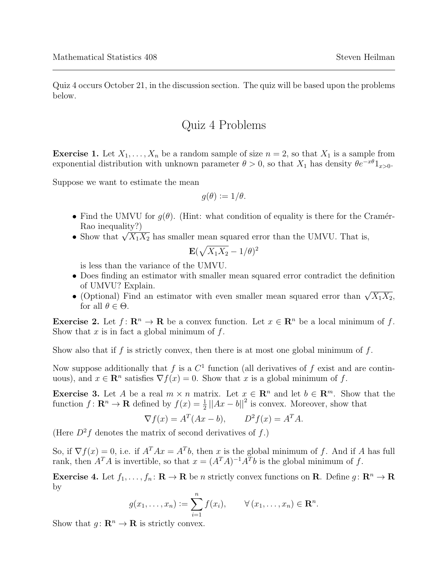Quiz 4 occurs October 21, in the discussion section. The quiz will be based upon the problems below.

## Quiz 4 Problems

**Exercise 1.** Let  $X_1, \ldots, X_n$  be a random sample of size  $n = 2$ , so that  $X_1$  is a sample from exponential distribution with unknown parameter  $\theta > 0$ , so that  $X_1$  has density  $\theta e^{-x\theta}1_{x>0}$ .

Suppose we want to estimate the mean

$$
g(\theta) := 1/\theta.
$$

- Find the UMVU for  $q(\theta)$ . (Hint: what condition of equality is there for the Cramér-Rao inequality?)
- Show that  $\sqrt{X_1 X_2}$  has smaller mean squared error than the UMVU. That is,

$$
\mathbf{E}(\sqrt{X_1X_2}-1/\theta)^2
$$

is less than the variance of the UMVU.

- Does finding an estimator with smaller mean squared error contradict the definition of UMVU? Explain.
- (Optional) Find an estimator with even smaller mean squared error than  $\sqrt{X_1 X_2}$ , for all  $\theta \in \Theta$ .

**Exercise 2.** Let  $f: \mathbb{R}^n \to \mathbb{R}$  be a convex function. Let  $x \in \mathbb{R}^n$  be a local minimum of f. Show that  $x$  is in fact a global minimum of  $f$ .

Show also that if f is strictly convex, then there is at most one global minimum of f.

Now suppose additionally that f is a  $C<sup>1</sup>$  function (all derivatives of f exist and are continuous), and  $x \in \mathbb{R}^n$  satisfies  $\nabla f(x) = 0$ . Show that x is a global minimum of f.

**Exercise 3.** Let A be a real  $m \times n$  matrix. Let  $x \in \mathbb{R}^n$  and let  $b \in \mathbb{R}^m$ . Show that the function  $f: \mathbf{R}^n \to \mathbf{R}$  defined by  $f(x) = \frac{1}{2} ||Ax - b||^2$  is convex. Moreover, show that

$$
\nabla f(x) = A^T (Ax - b), \qquad D^2 f(x) = A^T A.
$$

(Here  $D^2f$  denotes the matrix of second derivatives of f.)

So, if  $\nabla f(x) = 0$ , i.e. if  $A^T A x = A^T b$ , then x is the global minimum of f. And if A has full rank, then  $A^T A$  is invertible, so that  $x = (A^T A)^{-1} A^T b$  is the global minimum of f.

**Exercise 4.** Let  $f_1, \ldots, f_n \colon \mathbf{R} \to \mathbf{R}$  be n strictly convex functions on **R**. Define  $g \colon \mathbf{R}^n \to \mathbf{R}$ by

$$
g(x_1,\ldots,x_n):=\sum_{i=1}^n f(x_i),\qquad \forall (x_1,\ldots,x_n)\in\mathbf{R}^n.
$$

Show that  $g: \mathbb{R}^n \to \mathbb{R}$  is strictly convex.